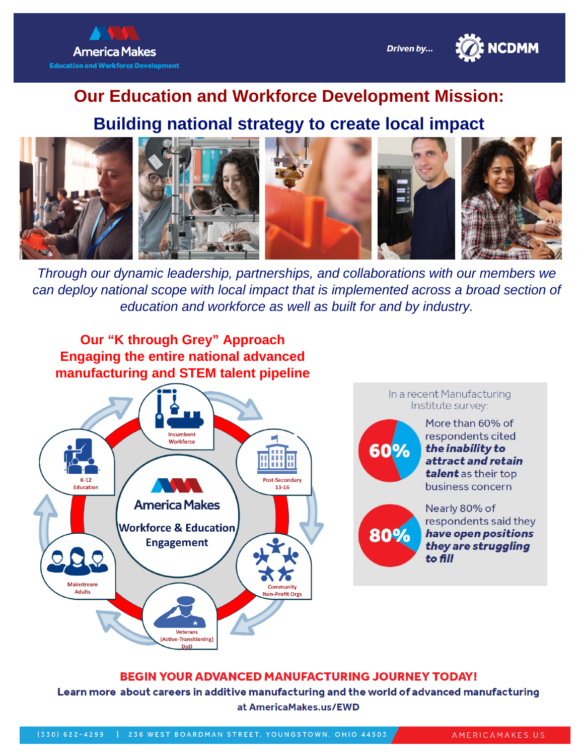



# **Our Education and Workforce Development Mission:**

#### **Building national strategy to create local impact**



*Through our dynamic leadership, partnerships, and collaborations with our members we can deploy national scope with local impact that is implemented across a broad section of education and workforce as well as built for and by industry.*



#### **BEGIN YOUR ADVANCED MANUFACTURING JOURNEY TODAY!**

Learn more about careers in additive manufacturing and the world of advanced manufacturing at AmericaMakes.us/EWD